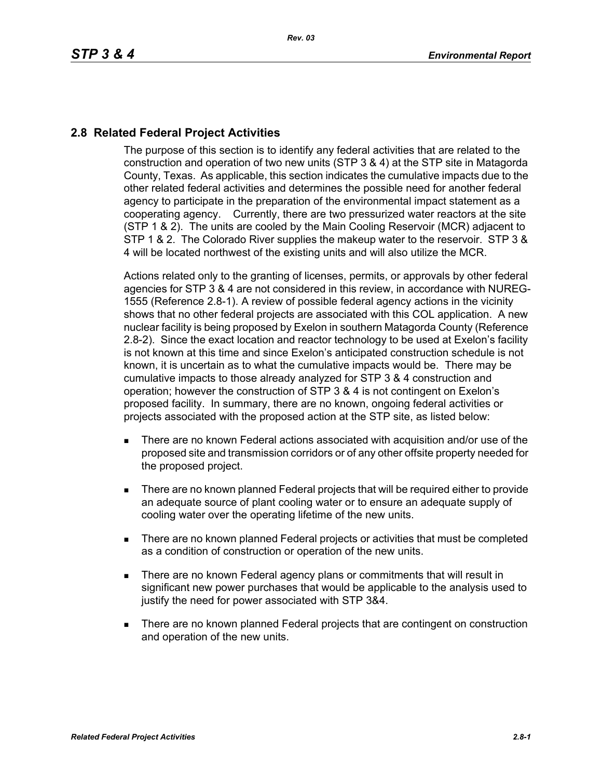## **2.8 Related Federal Project Activities**

The purpose of this section is to identify any federal activities that are related to the construction and operation of two new units (STP 3 & 4) at the STP site in Matagorda County, Texas. As applicable, this section indicates the cumulative impacts due to the other related federal activities and determines the possible need for another federal agency to participate in the preparation of the environmental impact statement as a cooperating agency. Currently, there are two pressurized water reactors at the site (STP 1 & 2). The units are cooled by the Main Cooling Reservoir (MCR) adjacent to STP 1 & 2. The Colorado River supplies the makeup water to the reservoir. STP 3 & 4 will be located northwest of the existing units and will also utilize the MCR.

Actions related only to the granting of licenses, permits, or approvals by other federal agencies for STP 3 & 4 are not considered in this review, in accordance with NUREG-1555 (Reference 2.8-1). A review of possible federal agency actions in the vicinity shows that no other federal projects are associated with this COL application. A new nuclear facility is being proposed by Exelon in southern Matagorda County (Reference 2.8-2). Since the exact location and reactor technology to be used at Exelon's facility is not known at this time and since Exelon's anticipated construction schedule is not known, it is uncertain as to what the cumulative impacts would be. There may be cumulative impacts to those already analyzed for STP 3 & 4 construction and operation; however the construction of STP 3 & 4 is not contingent on Exelon's proposed facility. In summary, there are no known, ongoing federal activities or projects associated with the proposed action at the STP site, as listed below:

- There are no known Federal actions associated with acquisition and/or use of the proposed site and transmission corridors or of any other offsite property needed for the proposed project.
- There are no known planned Federal projects that will be required either to provide an adequate source of plant cooling water or to ensure an adequate supply of cooling water over the operating lifetime of the new units.
- There are no known planned Federal projects or activities that must be completed as a condition of construction or operation of the new units.
- **There are no known Federal agency plans or commitments that will result in** significant new power purchases that would be applicable to the analysis used to justify the need for power associated with STP 3&4.
- **There are no known planned Federal projects that are contingent on construction** and operation of the new units.